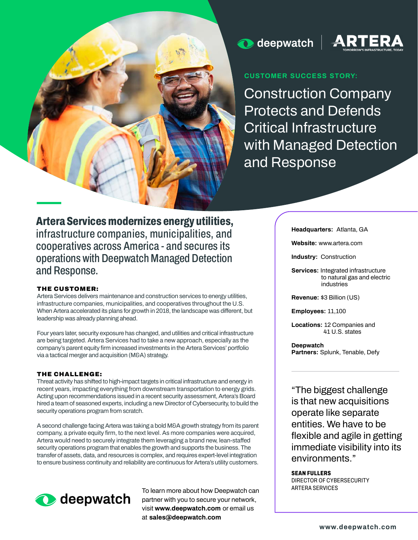

# $\bullet$  deepwatch  $\parallel$



## **CUSTOMER SUCCESS STORY:**

**Construction Company Protects and Defends Critical Infrastructure with Managed Detection and Response**

**Artera Services modernizes energy utilities, infrastructure companies, municipalities, and cooperatives across America - and secures its operations with Deepwatch Managed Detection and Response.**

### THE CUSTOMER:

**Artera Services delivers maintenance and construction services to energy utilities, infrastructure companies, municipalities, and cooperatives throughout the U.S. When Artera accelerated its plans for growth in 2018, the landscape was different, but leadership was already planning ahead.** 

**Four years later, security exposure has changed, and utilities and critical infrastructure are being targeted. Artera Services had to take a new approach, especially as the company's parent equity firm increased investments in the Artera Services' portfolio via a tactical merger and acquisition (M&A) strategy.**

### THE CHALLENGE:

**Threat activity has shifted to high-impact targets in critical infrastructure and energy in recent years, impacting everything from downstream transportation to energy grids. Acting upon recommendations issued in a recent security assessment, Artera's Board hired a team of seasoned experts, including a new Director of Cybersecurity, to build the security operations program from scratch.** 

**A second challenge facing Artera was taking a bold M&A growth strategy from its parent company, a private equity firm, to the next level. As more companies were acquired, Artera would need to securely integrate them leveraging a brand new, lean-staffed security operations program that enables the growth and supports the business. The transfer of assets, data, and resources is complex, and requires expert-level integration to ensure business continuity and reliability are continuous for Artera's utility customers.**



To learn more about how Deepwatch can **partner with you to secure your network, visit www.deepwatch.com or email us at sales@deepwatch.com**

**Headquarters: Atlanta, GA**

**Website: www.artera.com**

**Industry: Construction**

**Services: Integrated infrastructure to natural gas and electric industries**

**Revenue: \$3 Billion (US)**

**Employees: 11,100**

**Locations: 12 Companies and 41 U.S. states**

**Deepwatch Partners: Splunk, Tenable, Defy**

**"The biggest challenge is that new acquisitions operate like separate entities. We have to be flexible and agile in getting immediate visibility into its environments."**

#### **SEAN FULLERS**

**DIRECTOR OF CYBERSECURITY**